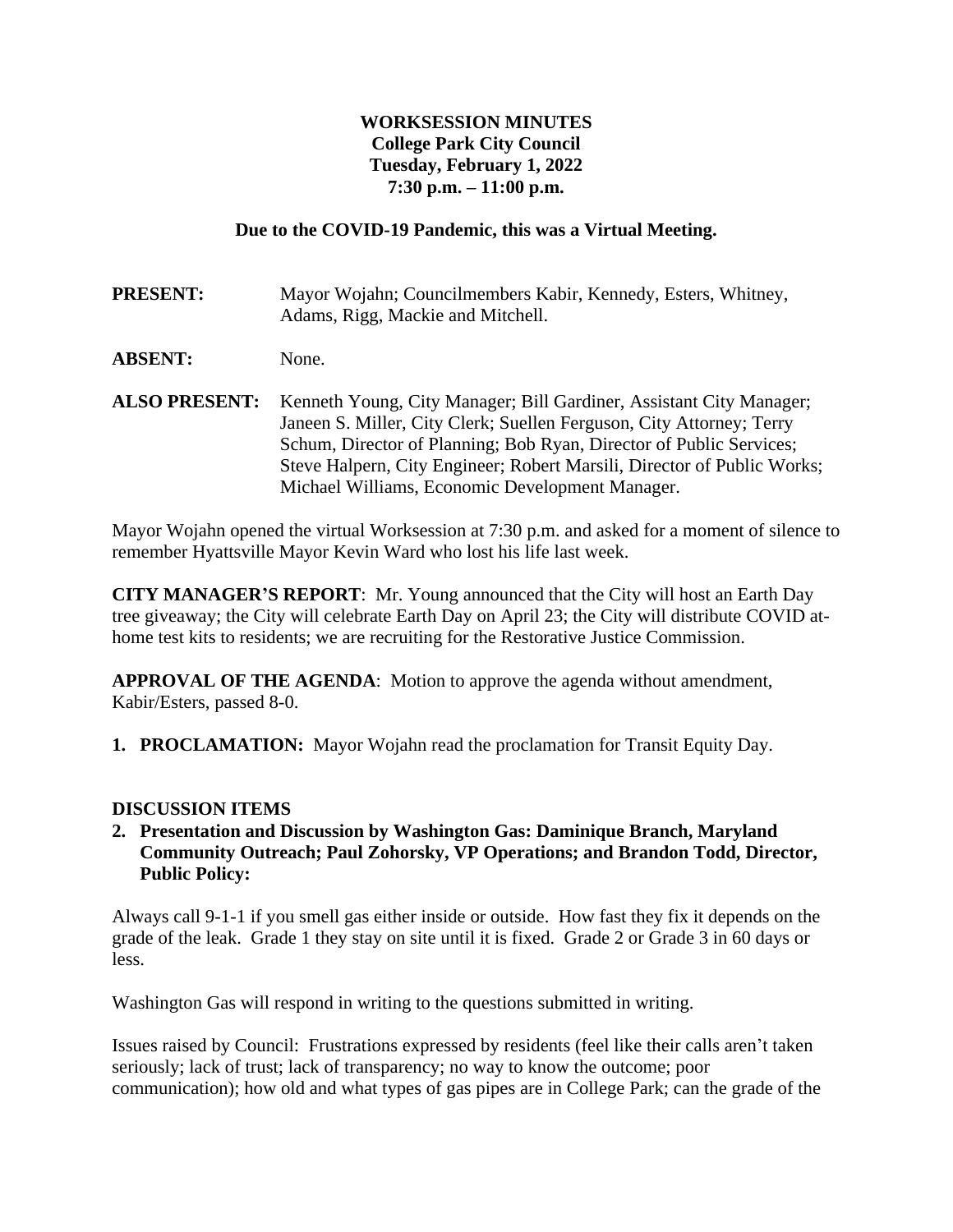## **WORKSESSION MINUTES College Park City Council Tuesday, February 1, 2022 7:30 p.m. – 11:00 p.m.**

### **Due to the COVID-19 Pandemic, this was a Virtual Meeting.**

**PRESENT:** Mayor Wojahn; Councilmembers Kabir, Kennedy, Esters, Whitney, Adams, Rigg, Mackie and Mitchell.

- **ABSENT:** None.
- **ALSO PRESENT:** Kenneth Young, City Manager; Bill Gardiner, Assistant City Manager; Janeen S. Miller, City Clerk; Suellen Ferguson, City Attorney; Terry Schum, Director of Planning; Bob Ryan, Director of Public Services; Steve Halpern, City Engineer; Robert Marsili, Director of Public Works; Michael Williams, Economic Development Manager.

Mayor Wojahn opened the virtual Worksession at 7:30 p.m. and asked for a moment of silence to remember Hyattsville Mayor Kevin Ward who lost his life last week.

**CITY MANAGER'S REPORT**: Mr. Young announced that the City will host an Earth Day tree giveaway; the City will celebrate Earth Day on April 23; the City will distribute COVID athome test kits to residents; we are recruiting for the Restorative Justice Commission.

**APPROVAL OF THE AGENDA**: Motion to approve the agenda without amendment, Kabir/Esters, passed 8-0.

**1. PROCLAMATION:** Mayor Wojahn read the proclamation for Transit Equity Day.

#### **DISCUSSION ITEMS**

**2. Presentation and Discussion by Washington Gas: Daminique Branch, Maryland Community Outreach; Paul Zohorsky, VP Operations; and Brandon Todd, Director, Public Policy:** 

Always call 9-1-1 if you smell gas either inside or outside. How fast they fix it depends on the grade of the leak. Grade 1 they stay on site until it is fixed. Grade 2 or Grade 3 in 60 days or less.

Washington Gas will respond in writing to the questions submitted in writing.

Issues raised by Council: Frustrations expressed by residents (feel like their calls aren't taken seriously; lack of trust; lack of transparency; no way to know the outcome; poor communication); how old and what types of gas pipes are in College Park; can the grade of the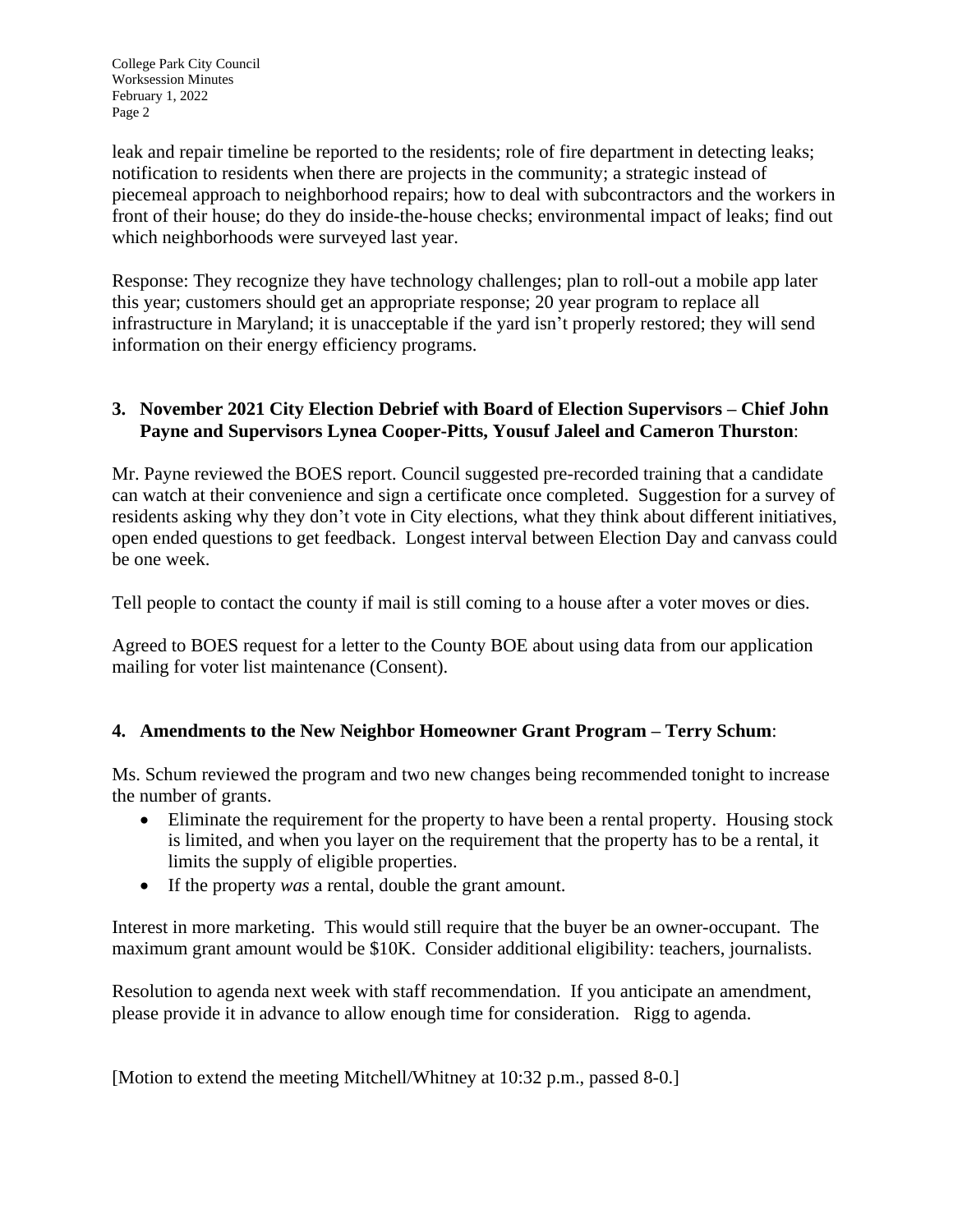leak and repair timeline be reported to the residents; role of fire department in detecting leaks; notification to residents when there are projects in the community; a strategic instead of piecemeal approach to neighborhood repairs; how to deal with subcontractors and the workers in front of their house; do they do inside-the-house checks; environmental impact of leaks; find out which neighborhoods were surveyed last year.

Response: They recognize they have technology challenges; plan to roll-out a mobile app later this year; customers should get an appropriate response; 20 year program to replace all infrastructure in Maryland; it is unacceptable if the yard isn't properly restored; they will send information on their energy efficiency programs.

# **3. November 2021 City Election Debrief with Board of Election Supervisors – Chief John Payne and Supervisors Lynea Cooper-Pitts, Yousuf Jaleel and Cameron Thurston**:

Mr. Payne reviewed the BOES report. Council suggested pre-recorded training that a candidate can watch at their convenience and sign a certificate once completed. Suggestion for a survey of residents asking why they don't vote in City elections, what they think about different initiatives, open ended questions to get feedback. Longest interval between Election Day and canvass could be one week.

Tell people to contact the county if mail is still coming to a house after a voter moves or dies.

Agreed to BOES request for a letter to the County BOE about using data from our application mailing for voter list maintenance (Consent).

## **4. Amendments to the New Neighbor Homeowner Grant Program – Terry Schum**:

Ms. Schum reviewed the program and two new changes being recommended tonight to increase the number of grants.

- Eliminate the requirement for the property to have been a rental property. Housing stock is limited, and when you layer on the requirement that the property has to be a rental, it limits the supply of eligible properties.
- If the property *was* a rental, double the grant amount.

Interest in more marketing. This would still require that the buyer be an owner-occupant. The maximum grant amount would be \$10K. Consider additional eligibility: teachers, journalists.

Resolution to agenda next week with staff recommendation. If you anticipate an amendment, please provide it in advance to allow enough time for consideration. Rigg to agenda.

[Motion to extend the meeting Mitchell/Whitney at 10:32 p.m., passed 8-0.]